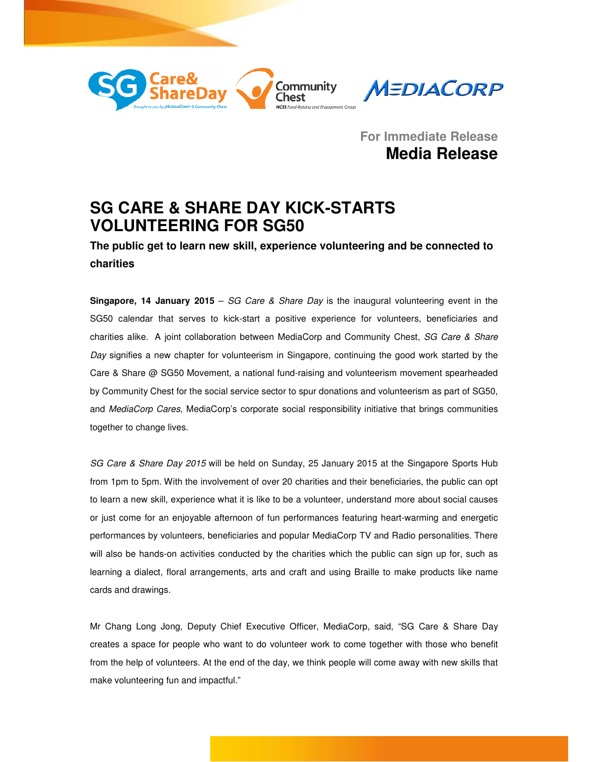



**For Immediate Release Media Release**

# **SG CARE & SHARE DAY KICK-STARTS VOLUNTEERING FOR SG50**

**The public get to learn new skill, experience volunteering and be connected to charities** 

**Singapore, 14 January 2015** – SG Care & Share Day is the inaugural volunteering event in the SG50 calendar that serves to kick-start a positive experience for volunteers, beneficiaries and charities alike. A joint collaboration between MediaCorp and Community Chest, SG Care & Share Day signifies a new chapter for volunteerism in Singapore, continuing the good work started by the Care & Share @ SG50 Movement, a national fund-raising and volunteerism movement spearheaded by Community Chest for the social service sector to spur donations and volunteerism as part of SG50, and MediaCorp Cares, MediaCorp's corporate social responsibility initiative that brings communities together to change lives.

SG Care & Share Day 2015 will be held on Sunday, 25 January 2015 at the Singapore Sports Hub from 1pm to 5pm. With the involvement of over 20 charities and their beneficiaries, the public can opt to learn a new skill, experience what it is like to be a volunteer, understand more about social causes or just come for an enjoyable afternoon of fun performances featuring heart-warming and energetic performances by volunteers, beneficiaries and popular MediaCorp TV and Radio personalities. There will also be hands-on activities conducted by the charities which the public can sign up for, such as learning a dialect, floral arrangements, arts and craft and using Braille to make products like name cards and drawings.

Mr Chang Long Jong, Deputy Chief Executive Officer, MediaCorp, said, "SG Care & Share Day creates a space for people who want to do volunteer work to come together with those who benefit from the help of volunteers. At the end of the day, we think people will come away with new skills that make volunteering fun and impactful."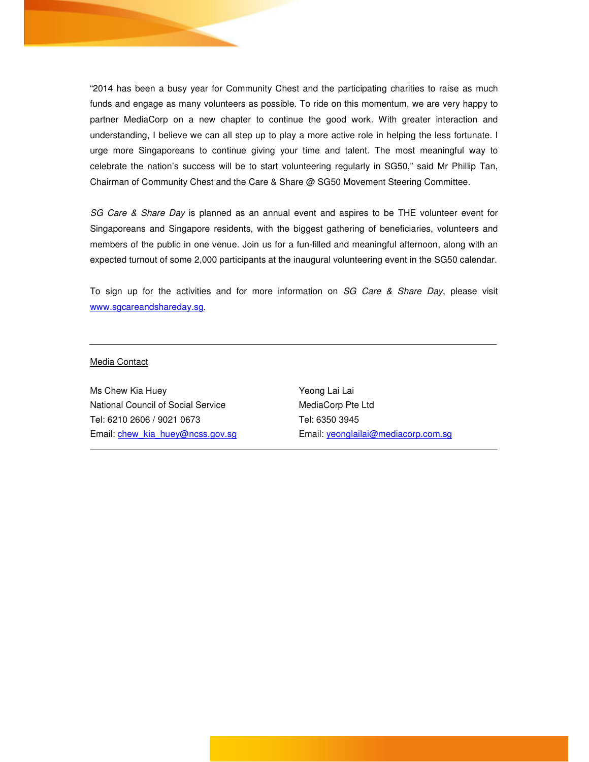"2014 has been a busy year for Community Chest and the participating charities to raise as much funds and engage as many volunteers as possible. To ride on this momentum, we are very happy to partner MediaCorp on a new chapter to continue the good work. With greater interaction and understanding, I believe we can all step up to play a more active role in helping the less fortunate. I urge more Singaporeans to continue giving your time and talent. The most meaningful way to celebrate the nation's success will be to start volunteering regularly in SG50," said Mr Phillip Tan, Chairman of Community Chest and the Care & Share @ SG50 Movement Steering Committee.

SG Care & Share Day is planned as an annual event and aspires to be THE volunteer event for Singaporeans and Singapore residents, with the biggest gathering of beneficiaries, volunteers and members of the public in one venue. Join us for a fun-filled and meaningful afternoon, along with an expected turnout of some 2,000 participants at the inaugural volunteering event in the SG50 calendar.

To sign up for the activities and for more information on SG Care & Share Day, please visit www.sgcareandshareday.sg.

#### Media Contact

Ms Chew Kia Huey National Council of Social Service Tel: 6210 2606 / 9021 0673 Email: chew\_kia\_huey@ncss.gov.sg Yeong Lai Lai MediaCorp Pte Ltd Tel: 6350 3945 Email: yeonglailai@mediacorp.com.sg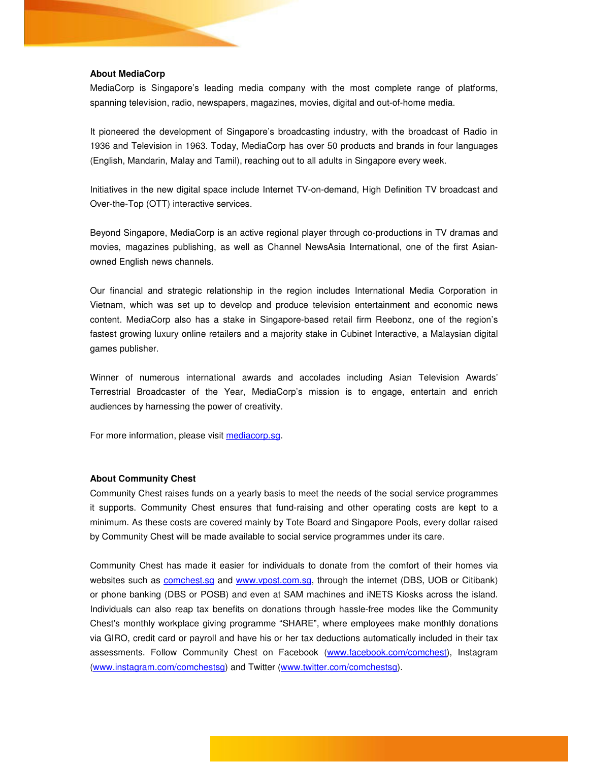#### **About MediaCorp**

MediaCorp is Singapore's leading media company with the most complete range of platforms, spanning television, radio, newspapers, magazines, movies, digital and out-of-home media.

It pioneered the development of Singapore's broadcasting industry, with the broadcast of Radio in 1936 and Television in 1963. Today, MediaCorp has over 50 products and brands in four languages (English, Mandarin, Malay and Tamil), reaching out to all adults in Singapore every week.

Initiatives in the new digital space include Internet TV-on-demand, High Definition TV broadcast and Over-the-Top (OTT) interactive services.

Beyond Singapore, MediaCorp is an active regional player through co-productions in TV dramas and movies, magazines publishing, as well as Channel NewsAsia International, one of the first Asianowned English news channels.

Our financial and strategic relationship in the region includes International Media Corporation in Vietnam, which was set up to develop and produce television entertainment and economic news content. MediaCorp also has a stake in Singapore-based retail firm Reebonz, one of the region's fastest growing luxury online retailers and a majority stake in Cubinet Interactive, a Malaysian digital games publisher.

Winner of numerous international awards and accolades including Asian Television Awards' Terrestrial Broadcaster of the Year, MediaCorp's mission is to engage, entertain and enrich audiences by harnessing the power of creativity.

For more information, please visit mediacorp.sg.

#### **About Community Chest**

Community Chest raises funds on a yearly basis to meet the needs of the social service programmes it supports. Community Chest ensures that fund-raising and other operating costs are kept to a minimum. As these costs are covered mainly by Tote Board and Singapore Pools, every dollar raised by Community Chest will be made available to social service programmes under its care.

Community Chest has made it easier for individuals to donate from the comfort of their homes via websites such as **comchest.sg and www.vpost.com.sg**, through the internet (DBS, UOB or Citibank) or phone banking (DBS or POSB) and even at SAM machines and iNETS Kiosks across the island. Individuals can also reap tax benefits on donations through hassle-free modes like the Community Chest's monthly workplace giving programme "SHARE", where employees make monthly donations via GIRO, credit card or payroll and have his or her tax deductions automatically included in their tax assessments. Follow Community Chest on Facebook (www.facebook.com/comchest), Instagram (www.instagram.com/comchestsg) and Twitter (www.twitter.com/comchestsg).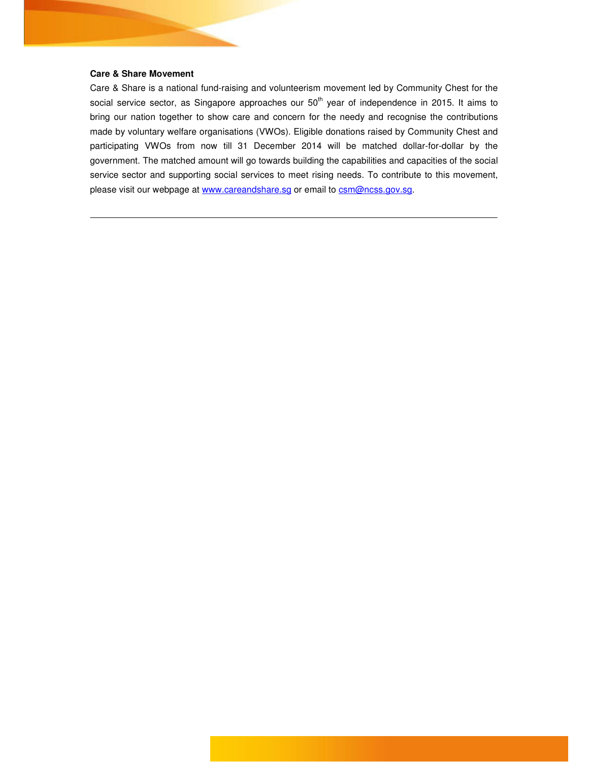### **Care & Share Movement**

Care & Share is a national fund-raising and volunteerism movement led by Community Chest for the social service sector, as Singapore approaches our  $50<sup>th</sup>$  year of independence in 2015. It aims to bring our nation together to show care and concern for the needy and recognise the contributions made by voluntary welfare organisations (VWOs). Eligible donations raised by Community Chest and participating VWOs from now till 31 December 2014 will be matched dollar-for-dollar by the government. The matched amount will go towards building the capabilities and capacities of the social service sector and supporting social services to meet rising needs. To contribute to this movement, please visit our webpage at www.careandshare.sg or email to csm@ncss.gov.sg.